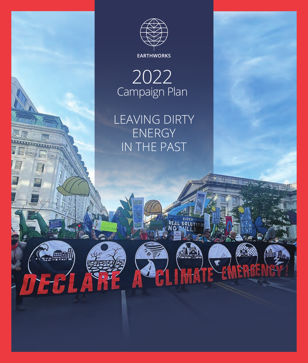

2022 Campaign Plan

LEAVING DIRTY ENERGY IN THE PAST

14

 $\sqrt{1}$ 

**INHATE EMERGE** 

**A Filter**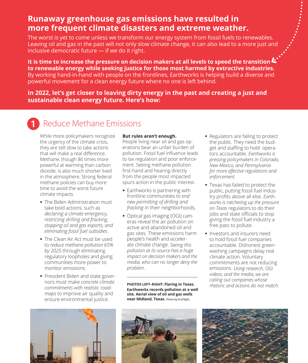### **Runaway greenhouse gas emissions have resulted in more frequent climate disasters and extreme weather.**

The worst is yet to come unless we transform our energy system from fossil fuels to renewables. Leaving oil and gas in the past will not only slow climate change, it can also lead to a more just and inclusive democratic future — if we do it right.

**It is time to increase the pressure on decision makers at all levels to speed the transition to renewable energy while seeking justice for those most harmed by extractive industries.** By working hand-in-hand with people on the frontlines, Earthworks is helping build a diverse and powerful movement for a clean energy future where no one is left behind.

**In 2022, let's get closer to leaving dirty energy in the past and creating a just and sustainable clean energy future. Here's how:**

#### Reduce Methane Emissions 0

While more policymakers recognize the urgency of the climate crisis, they are still slow to take actions that will make a real difference. Methane, though 86 times more powerful at warming than carbon dioxide, is also much shorter lived in the atmosphere. Strong federal methane policies can buy more time to avoid the worst future climate impacts.

- The Biden Administration must take bold actions, such as *declaring a climate emergency, restricting drilling and fracking, stopping oil and gas exports, and eliminating fossil fuel subsidies*.
- The Clean Air Act must be used to *reduce methane pollution 65% by 2025* through eliminating regulatory loopholes and giving communities more power to monitor emissions.
- President Biden and state governors must make *concrete climate commitments with realistic roadmaps* to improve air quality and ensure environmental justice.

#### **But rules aren't enough.**

People living near oil and gas operations bear an unfair burden of pollution. Fossil fuel influence leads to lax regulation and poor enforcement. Seeing methane pollution first-hand and hearing directly from the people most impacted spurs action in the public interest.

- **Earthworks is partnering with** frontline communities to *end new permitting of drilling and fracking* in their neighborhoods.
- Optical gas imaging (OGI) cameras reveal the air pollution on active and abandoned oil and gas sites. These emissions harm people's health and accelerate climate change. *Seeing this pollution at its source has a huge impact on decision makers and the media, who can no longer deny the problem*.

**PHOTOS LEFT–RIGHT: Flaring in Texas. Earthworks records pollution at a well site. Aerial view of oil and gas wells near Midland, Texas.** Photo by EcoFlight.

- **Regulators are failing to protect** the public. They need the budget and staffing to hold operators accountable. *Earthworks is pressing policymakers in Colorado, New Mexico, and Pennsylvania for more effective regulations and enforcement.*
- Texas has failed to protect the public, putting fossil fuel industry profits above all else. *Earthworks is ratcheting up the pressure on Texas* regulators to do their jobs and state officials to stop giving the fossil fuel industry a free pass to pollute.
- **Investors and insurers need** to hold fossil fuel companies accountable. Dishonest greenwashing campaigns delay real climate action. Voluntary commitments are not reducing emissions. *Using research, OGI videos, and the media, we are calling out companies whose rhetoric and actions do not match.*





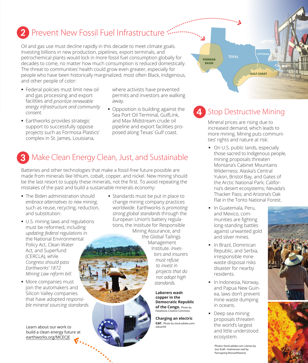# 2 Prevent New Fossil Fuel Infrastructure

Oil and gas use must decline rapidly in this decade to meet climate goals. Investing billions in new production, pipelines, export terminals, and petrochemical plants would lock in more fossil fuel consumption globally for decades to come, no matter how much consumption is reduced domestically. The threat to communities' health could grow even greater, especially for people who have been historically marginalized, most often Black, Indigenous, and other people of color:

- **Federal policies must limit new oil** and gas processing and export facilities and *prioritize renewable energy infrastructure and community consent.*
- **Earthworks provides strategic** support to successfully oppose projects such as Formosa Plastics' complex in St. James, Louisiana,

where activists have prevented permits and investors are walking away.

• Opposition is building against the Sea Port Oil Terminal, GulfLink, and Max Midstream crude oil pipeline and export facilities proposed along Texas' Gulf coast.

#### Make Clean Energy Clean, Just, and Sustainable 3

Batteries and other technologies that make a fossil-free future possible are made from minerals like lithium, cobalt, copper, and nickel. New mining should be the last resort to supply these minerals, not the first. To avoid repeating the mistakes of the past and build a sustainable minerals economy:

- The Biden administration should *embrace alternatives to new mining*, such as reuse, recycling, reduction, and substitution.
- **U.S. mining laws and regulations** must be reformed, including *updating federal regulations* in the National Environmental Policy Act, Clean Water Act, and Superfund (CERCLA), while *Congress should pass Earthworks' 1872 Mining Law reform bill.*
- **More companies must** join the automakers and Silicon Valley companies that have adopted *responsible mineral sourcing standards.*

Learn about our work to build a clean energy future at earthworks.org/MCECJE

**Standards must be put in place to** change mining company practices worldwide. Earthworks is *promoting strong global standards* through the European Union's battery regulations, the Institute for Responsible Mining Assurance, and the Global Tailings Management Institute. *Investors and insurers must refuse to invest in projects that do not adopt high standards.* **Laborers wash** 

**copper in the Democratic Republic of the Congo.** Photo by Fairphone, Creative Commons

**Charging an electric car.** Photo by stock.adobe.com/ seksan94



#### Stop Destructive Mining 4

Mineral prices are rising due to increased demand, which leads to more mining. Mining puts communities' rights and nature at risk:

- On U.S. public lands, especially those sacred to Indigenous people, mining proposals threaten Montana's Cabinet Mountains Wilderness; Alaska's Central Yukon, Bristol Bay, and Gates of the Arctic National Park; California's desert ecosystems; Nevada's Thacker Pass; and Arizona's Oak Flat in the Tonto National Forest.
- **In Guatemala, Peru,** and Mexico, communities are fighting long-standing battles against unwanted gold and silver mines.
- **In Brazil, Dominican** Republic, and Serbia, irresponsible mine waste disposal risks disaster for nearby residents.
- **In Indonesia, Norway,** and Papua New Guinea, laws don't prevent mine waste dumping in oceans.
- Deep sea mining proposals threaten the world's largest and little understood ecosystem.

Photos: Stock.adobe.com. Llamas by Jess Kraft • Indonesian reef by Parnupong Norasethkamol.